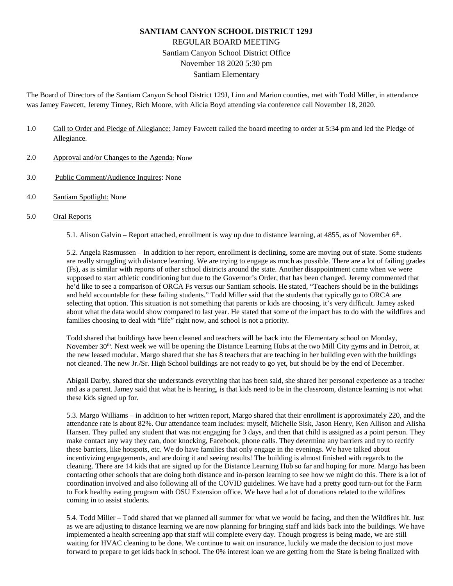# **SANTIAM CANYON SCHOOL DISTRICT 129J** REGULAR BOARD MEETING Santiam Canyon School District Office November 18 2020 5:30 pm Santiam Elementary

The Board of Directors of the Santiam Canyon School District 129J, Linn and Marion counties, met with Todd Miller, in attendance was Jamey Fawcett, Jeremy Tinney, Rich Moore, with Alicia Boyd attending via conference call November 18, 2020.

- 1.0 Call to Order and Pledge of Allegiance: Jamey Fawcett called the board meeting to order at 5:34 pm and led the Pledge of Allegiance.
- 2.0 Approval and/or Changes to the Agenda: None
- 3.0 Public Comment/Audience Inquires: None
- 4.0 Santiam Spotlight: None

## 5.0 Oral Reports

5.1. Alison Galvin – Report attached, enrollment is way up due to distance learning, at 4855, as of November  $6<sup>th</sup>$ .

5.2. Angela Rasmussen – In addition to her report, enrollment is declining, some are moving out of state. Some students are really struggling with distance learning. We are trying to engage as much as possible. There are a lot of failing grades (Fs), as is similar with reports of other school districts around the state. Another disappointment came when we were supposed to start athletic conditioning but due to the Governor's Order, that has been changed. Jeremy commented that he'd like to see a comparison of ORCA Fs versus our Santiam schools. He stated, "Teachers should be in the buildings and held accountable for these failing students." Todd Miller said that the students that typically go to ORCA are selecting that option. This situation is not something that parents or kids are choosing, it's very difficult. Jamey asked about what the data would show compared to last year. He stated that some of the impact has to do with the wildfires and families choosing to deal with "life" right now, and school is not a priority.

Todd shared that buildings have been cleaned and teachers will be back into the Elementary school on Monday, November 30<sup>th</sup>. Next week we will be opening the Distance Learning Hubs at the two Mill City gyms and in Detroit, at the new leased modular. Margo shared that she has 8 teachers that are teaching in her building even with the buildings not cleaned. The new Jr./Sr. High School buildings are not ready to go yet, but should be by the end of December.

Abigail Darby, shared that she understands everything that has been said, she shared her personal experience as a teacher and as a parent. Jamey said that what he is hearing, is that kids need to be in the classroom, distance learning is not what these kids signed up for.

5.3. Margo Williams – in addition to her written report, Margo shared that their enrollment is approximately 220, and the attendance rate is about 82%. Our attendance team includes: myself, Michelle Sisk, Jason Henry, Ken Allison and Alisha Hansen. They pulled any student that was not engaging for 3 days, and then that child is assigned as a point person. They make contact any way they can, door knocking, Facebook, phone calls. They determine any barriers and try to rectify these barriers, like hotspots, etc. We do have families that only engage in the evenings. We have talked about incentivizing engagements, and are doing it and seeing results! The building is almost finished with regards to the cleaning. There are 14 kids that are signed up for the Distance Learning Hub so far and hoping for more. Margo has been contacting other schools that are doing both distance and in-person learning to see how we might do this. There is a lot of coordination involved and also following all of the COVID guidelines. We have had a pretty good turn-out for the Farm to Fork healthy eating program with OSU Extension office. We have had a lot of donations related to the wildfires coming in to assist students.

5.4. Todd Miller – Todd shared that we planned all summer for what we would be facing, and then the Wildfires hit. Just as we are adjusting to distance learning we are now planning for bringing staff and kids back into the buildings. We have implemented a health screening app that staff will complete every day. Though progress is being made, we are still waiting for HVAC cleaning to be done. We continue to wait on insurance, luckily we made the decision to just move forward to prepare to get kids back in school. The 0% interest loan we are getting from the State is being finalized with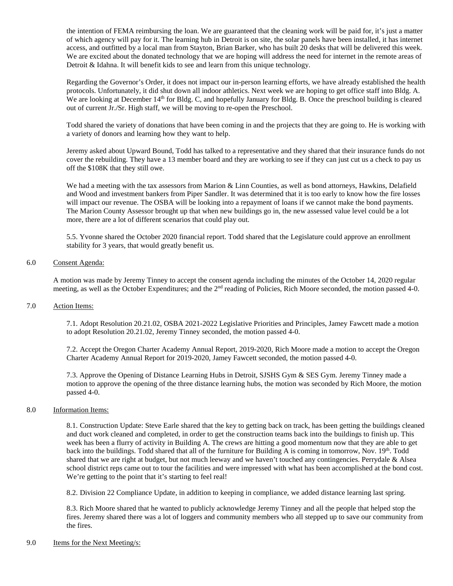the intention of FEMA reimbursing the loan. We are guaranteed that the cleaning work will be paid for, it's just a matter of which agency will pay for it. The learning hub in Detroit is on site, the solar panels have been installed, it has internet access, and outfitted by a local man from Stayton, Brian Barker, who has built 20 desks that will be delivered this week. We are excited about the donated technology that we are hoping will address the need for internet in the remote areas of Detroit & Idahna. It will benefit kids to see and learn from this unique technology.

Regarding the Governor's Order, it does not impact our in-person learning efforts, we have already established the health protocols. Unfortunately, it did shut down all indoor athletics. Next week we are hoping to get office staff into Bldg. A. We are looking at December  $14<sup>th</sup>$  for Bldg. C, and hopefully January for Bldg. B. Once the preschool building is cleared out of current Jr./Sr. High staff, we will be moving to re-open the Preschool.

Todd shared the variety of donations that have been coming in and the projects that they are going to. He is working with a variety of donors and learning how they want to help.

Jeremy asked about Upward Bound, Todd has talked to a representative and they shared that their insurance funds do not cover the rebuilding. They have a 13 member board and they are working to see if they can just cut us a check to pay us off the \$108K that they still owe.

We had a meeting with the tax assessors from Marion & Linn Counties, as well as bond attorneys, Hawkins, Delafield and Wood and investment bankers from Piper Sandler. It was determined that it is too early to know how the fire losses will impact our revenue. The OSBA will be looking into a repayment of loans if we cannot make the bond payments. The Marion County Assessor brought up that when new buildings go in, the new assessed value level could be a lot more, there are a lot of different scenarios that could play out.

5.5. Yvonne shared the October 2020 financial report. Todd shared that the Legislature could approve an enrollment stability for 3 years, that would greatly benefit us.

## 6.0 Consent Agenda:

A motion was made by Jeremy Tinney to accept the consent agenda including the minutes of the October 14, 2020 regular meeting, as well as the October Expenditures; and the 2nd reading of Policies, Rich Moore seconded, the motion passed 4-0.

## 7.0 Action Items:

7.1. Adopt Resolution 20.21.02, OSBA 2021-2022 Legislative Priorities and Principles, Jamey Fawcett made a motion to adopt Resolution 20.21.02, Jeremy Tinney seconded, the motion passed 4-0.

7.2. Accept the Oregon Charter Academy Annual Report, 2019-2020, Rich Moore made a motion to accept the Oregon Charter Academy Annual Report for 2019-2020, Jamey Fawcett seconded, the motion passed 4-0.

7.3. Approve the Opening of Distance Learning Hubs in Detroit, SJSHS Gym & SES Gym. Jeremy Tinney made a motion to approve the opening of the three distance learning hubs, the motion was seconded by Rich Moore, the motion passed 4-0.

## 8.0 Information Items:

8.1. Construction Update: Steve Earle shared that the key to getting back on track, has been getting the buildings cleaned and duct work cleaned and completed, in order to get the construction teams back into the buildings to finish up. This week has been a flurry of activity in Building A. The crews are hitting a good momentum now that they are able to get back into the buildings. Todd shared that all of the furniture for Building A is coming in tomorrow, Nov. 19<sup>th</sup>. Todd shared that we are right at budget, but not much leeway and we haven't touched any contingencies. Perrydale & Alsea school district reps came out to tour the facilities and were impressed with what has been accomplished at the bond cost. We're getting to the point that it's starting to feel real!

8.2. Division 22 Compliance Update, in addition to keeping in compliance, we added distance learning last spring.

8.3. Rich Moore shared that he wanted to publicly acknowledge Jeremy Tinney and all the people that helped stop the fires. Jeremy shared there was a lot of loggers and community members who all stepped up to save our community from the fires.

## 9.0 Items for the Next Meeting/s: